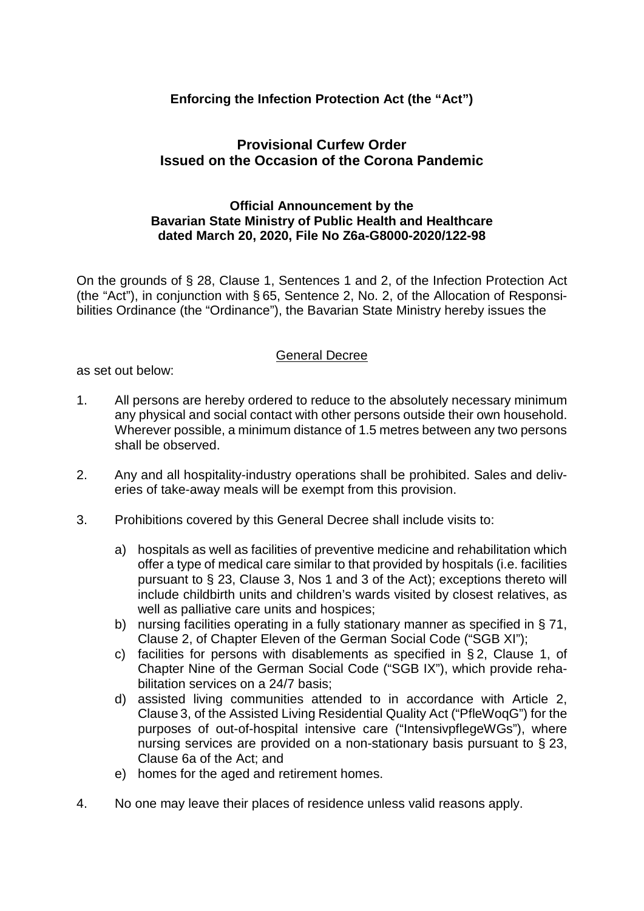## **Enforcing the Infection Protection Act (the "Act")**

## **Provisional Curfew Order Issued on the Occasion of the Corona Pandemic**

## **Official Announcement by the Bavarian State Ministry of Public Health and Healthcare dated March 20, 2020, File No Z6a-G8000-2020/122-98**

On the grounds of § 28, Clause 1, Sentences 1 and 2, of the Infection Protection Act (the "Act"), in conjunction with § 65, Sentence 2, No. 2, of the Allocation of Responsibilities Ordinance (the "Ordinance"), the Bavarian State Ministry hereby issues the

## General Decree

as set out below:

- 1. All persons are hereby ordered to reduce to the absolutely necessary minimum any physical and social contact with other persons outside their own household. Wherever possible, a minimum distance of 1.5 metres between any two persons shall be observed.
- 2. Any and all hospitality-industry operations shall be prohibited. Sales and deliveries of take-away meals will be exempt from this provision.
- 3. Prohibitions covered by this General Decree shall include visits to:
	- a) hospitals as well as facilities of preventive medicine and rehabilitation which offer a type of medical care similar to that provided by hospitals (i.e. facilities pursuant to § 23, Clause 3, Nos 1 and 3 of the Act); exceptions thereto will include childbirth units and children's wards visited by closest relatives, as well as palliative care units and hospices;
	- b) nursing facilities operating in a fully stationary manner as specified in § 71, Clause 2, of Chapter Eleven of the German Social Code ("SGB XI");
	- c) facilities for persons with disablements as specified in § 2, Clause 1, of Chapter Nine of the German Social Code ("SGB IX"), which provide rehabilitation services on a 24/7 basis;
	- d) assisted living communities attended to in accordance with Article 2, Clause 3, of the Assisted Living Residential Quality Act ("PfleWoqG") for the purposes of out-of-hospital intensive care ("IntensivpflegeWGs"), where nursing services are provided on a non-stationary basis pursuant to § 23, Clause 6a of the Act; and
	- e) homes for the aged and retirement homes.
- 4. No one may leave their places of residence unless valid reasons apply.